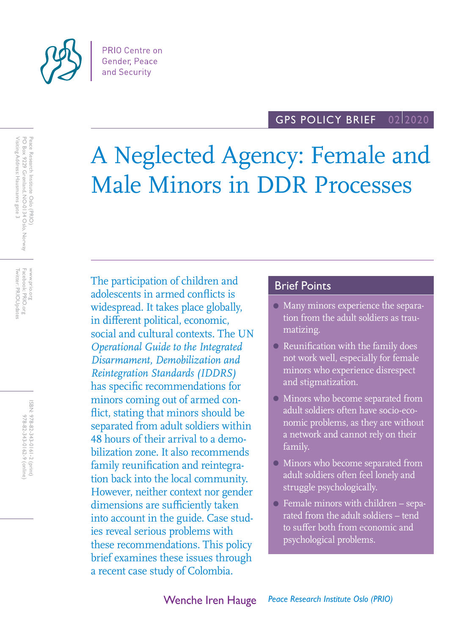

Visiting Address: Hausmanns gate 3

Twitter: PRIOUpdates Facebook: PRIO.org www.prio.org

Facebook: PRIO.org Twitter: PRIOUpdates

WWW.prio.org

ISBN: 978-82-343-0161-2 (print) 978-82-343-0162-9 (online) 978-82-343-0161-2 (print)

978-82-343-0162-9 (online)

PO Box 9229 Grønland, NO-0134 Oslo, Norway Peace Research Institute Oslo (PRIO)

Peace Research Institute Oslo (PRIO)<br>PO Box 9229 Grønland, NO-0134 Oslo, Norway<br>Visiting Address: Hausmanns gate 3

#### GPS POLICY BRIEF 02 2020

# A Neglected Agency: Female and Male Minors in DDR Processes

The participation of children and adolescents in armed conflicts is widespread. It takes place globally, in different political, economic, social and cultural contexts. The UN *Operational Guide to the Integrated Disarmament, Demobilization and Reintegration Standards (IDDRS)* has specific recommendations for minors coming out of armed conflict, stating that minors should be separated from adult soldiers within 48 hours of their arrival to a demobilization zone. It also recommends family reunification and reintegration back into the local community. However, neither context nor gender dimensions are sufficiently taken into account in the guide. Case studies reveal serious problems with these recommendations. This policy brief examines these issues through a recent case study of Colombia.

## Brief Points

- Many minors experience the separation from the adult soldiers as traumatizing.
- **Reunification with the family does** not work well, especially for female minors who experience disrespect and stigmatization.
- Minors who become separated from adult soldiers often have socio-economic problems, as they are without a network and cannot rely on their family.
- Minors who become separated from adult soldiers often feel lonely and struggle psychologically.
- Female minors with children separated from the adult soldiers – tend to suffer both from economic and psychological problems.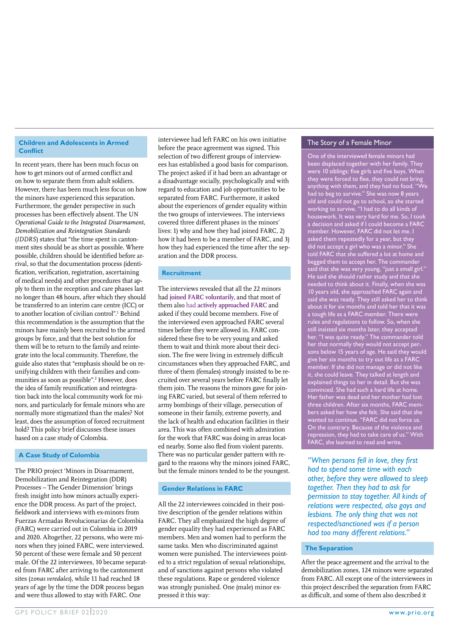#### **Children and Adolescents in Armed Conflict**

In recent years, there has been much focus on how to get minors out of armed conflict and on how to separate them from adult soldiers. However, there has been much less focus on how the minors have experienced this separation. Furthermore, the gender perspective in such processes has been effectively absent. The UN *Operational Guide to the Integrated Disarmament, Demobilization and Reintegration Standards* (*IDDRS*) states that "the time spent in cantonment sites should be as short as possible. Where possible, children should be identified before arrival, so that the documentation process (identification, verification, registration, ascertaining of medical needs) and other procedures that apply to them in the reception and care phases last no longer than 48 hours, after which they should be transferred to an interim care centre (ICC) or to another location of civilian control".<sup>1</sup> Behind this recommendation is the assumption that the minors have mainly been recruited to the armed groups by force, and that the best solution for them will be to return to the family and reintegrate into the local community. Therefore, the guide also states that "emphasis should be on reunifying children with their families and communities as soon as possible".<sup>2</sup> However, does the idea of family reunification and reintegration back into the local community work for minors, and particularly for female minors who are normally more stigmatized than the males? Not least, does the assumption of forced recruitment hold? This policy brief discusses these issues based on a case study of Colombia.

#### **A Case Study of Colombia**

The PRIO project 'Minors in Disarmament, Demobilization and Reintegration (DDR) Processes – The Gender Dimension' brings fresh insight into how minors actually experience the DDR process. As part of the project, fieldwork and interviews with ex-minors from Fuerzas Armadas Revolucionarias de Colombia (FARC) were carried out in Colombia in 2019 and 2020. Altogether, 22 persons, who were minors when they joined FARC, were interviewed. 50 percent of these were female and 50 percent male. Of the 22 interviewees, 10 became separated from FARC after arriving to the cantonment sites (*zonas veredales*), while 11 had reached 18 years of age by the time the DDR process began and were thus allowed to stay with FARC. One

interviewee had left FARC on his own initiative before the peace agreement was signed. This selection of two different groups of interviewees has established a good basis for comparison. The project asked if it had been an advantage or a disadvantage socially, psychologically and with regard to education and job opportunities to be separated from FARC. Furthermore, it asked about the experiences of gender equality within the two groups of interviewees. The interviews covered three different phases in the minors' lives: 1) why and how they had joined FARC, 2) how it had been to be a member of FARC, and 3) how they had experienced the time after the separation and the DDR process.

#### **Recruitment**

The interviews revealed that all the 22 minors had **joined FARC voluntarily**, and that most of them also had **actively approached FARC** and asked if they could become members. Five of the interviewed even approached FARC several times before they were allowed in. FARC considered these five to be very young and asked them to wait and think more about their decision. The five were living in extremely difficult circumstances when they approached FARC, and three of them (females) strongly insisted to be recruited over several years before FARC finally let them join. The reasons the minors gave for joining FARC varied, but several of them referred to army bombings of their village, persecution of someone in their family, extreme poverty, and the lack of health and education facilities in their area. This was often combined with admiration for the work that FARC was doing in areas located nearby. Some also fled from violent parents. There was no particular gender pattern with regard to the reasons why the minors joined FARC, but the female minors tended to be the youngest.

#### **Gender Relations in FARC**

All the 22 interviewees coincided in their positive description of the gender relations within FARC. They all emphasized the high degree of gender equality they had experienced as FARC members. Men and women had to perform the same tasks. Men who discriminated against women were punished. The interviewees pointed to a strict regulation of sexual relationships, and of sanctions against persons who violated these regulations. Rape or gendered violence was strongly punished. One (male) minor expressed it this way:

#### The Story of a Female Minor

One of the interviewed female minors had been displaced together with her family. They were 10 siblings: five girls and five boys. When they were forced to flee, they could not bring anything with them, and they had no food. "We had to beg to survive." She was now 8 years old and could not go to school, so she started working to survive. "I had to do all kinds of housework. It was very hard for me. So, I took a decision and asked if I could become a FARC member. However, FARC did not let me. I asked them repeatedly for a year, but they did not accept a girl who was a minor." She told FARC that she suffered a lot at home and begged them to accept her. The commander said that she was very young, "just a small girl." He said she should rather study and that she needed to think about it. Finally, when she was 10 years old, she approached FARC again and said she was ready. They still asked her to think about it for six months and told her that it was a tough life as a FARC member. There were rules and regulations to follow. So, when she still insisted six months later, they accepted her. "I was quite ready." The commander told her that normally they would not accept persons below 15 years of age. He said they would give her six months to try out life as a FARC member. If she did not manage or did not like it, she could leave. They talked at length and explained things to her in detail. But she was convinced. She had such a hard life at home. Her father was dead and her mother had lost three children. After six months, FARC members asked her how she felt. She said that she wanted to continue. "FARC did not force us. On the contrary. Because of the violence and repression, they had to take care of us." With FARC, she learned to read and write.

*"When persons fell in love, they first had to spend some time with each other, before they were allowed to sleep together. Then they had to ask for permission to stay together. All kinds of relations were respected, also gays and lesbians. The only thing that was not respected/sanctioned was if a person had too many different relations."*

#### **The Separation**

After the peace agreement and the arrival to the demobilization zones, 124 minors were separated from FARC. All except one of the interviewees in this project described the separation from FARC as difficult, and some of them also described it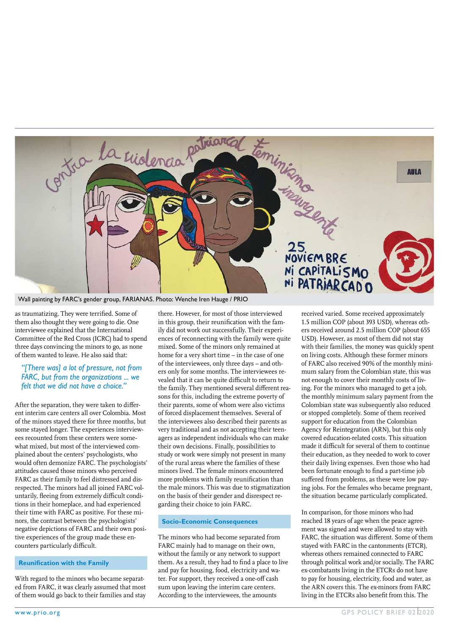

Wall painting by FARC's gender group, FARIANAS. Photo: Wenche Iren Hauge / PRIO

as traumatizing. They were terrified. Some of them also thought they were going to die. One interviewee explained that the International Committee of the Red Cross (ICRC) had to spend three days convincing the minors to go, as none of them wanted to leave. He also said that:

#### *"[There was] a lot of pressure, not from FARC, but from the organizations ... we felt that we did not have a choice."*

After the separation, they were taken to different interim care centers all over Colombia. Most of the minors stayed there for three months, but some stayed longer. The experiences interviewees recounted from these centers were somewhat mixed, but most of the interviewed complained about the centers' psychologists, who would often demonize FARC. The psychologists' attitudes caused those minors who perceived FARC as their family to feel distressed and disrespected. The minors had all joined FARC voluntarily, fleeing from extremely difficult conditions in their homeplace, and had experienced their time with FARC as positive. For these minors, the contrast between the psychologists' negative depictions of FARC and their own positive experiences of the group made these encounters particularly difficult.

#### **Reunification with the Family**

With regard to the minors who became separated from FARC, it was clearly assumed that most of them would go back to their families and stay

there. However, for most of those interviewed in this group, their reunification with the family did not work out successfully. Their experiences of reconnecting with the family were quite mixed. Some of the minors only remained at home for a very short time – in the case of one of the interviewees, only three days – and others only for some months. The interviewees revealed that it can be quite difficult to return to the family. They mentioned several different reasons for this, including the extreme poverty of their parents, some of whom were also victims of forced displacement themselves. Several of the interviewees also described their parents as very traditional and as not accepting their teenagers as independent individuals who can make their own decisions. Finally, possibilities to study or work were simply not present in many of the rural areas where the families of these minors lived. The female minors encountered more problems with family reunification than the male minors. This was due to stigmatization on the basis of their gender and disrespect regarding their choice to join FARC.

#### **Socio-Economic Consequences**

The minors who had become separated from FARC mainly had to manage on their own, without the family or any network to support them. As a result, they had to find a place to live and pay for housing, food, electricity and water. For support, they received a one-off cash sum upon leaving the interim care centers. According to the interviewees, the amounts

received varied. Some received approximately 1.5 million COP (about 393 USD), whereas others received around 2.5 million COP (about 655 USD). However, as most of them did not stay with their families, the money was quickly spent on living costs. Although these former minors of FARC also received 90% of the monthly minimum salary from the Colombian state, this was not enough to cover their monthly costs of living. For the minors who managed to get a job, the monthly minimum salary payment from the Colombian state was subsequently also reduced or stopped completely. Some of them received support for education from the Colombian Agency for Reintegration (ARN), but this only covered education-related costs. This situation made it difficult for several of them to continue their education, as they needed to work to cover their daily living expenses. Even those who had been fortunate enough to find a part-time job suffered from problems, as these were low paying jobs. For the females who became pregnant, the situation became particularly complicated.

In comparison, for those minors who had reached 18 years of age when the peace agreement was signed and were allowed to stay with FARC, the situation was different. Some of them stayed with FARC in the cantonments (ETCR), whereas others remained connected to FARC through political work and/or socially. The FARC ex-combatants living in the ETCRs do not have to pay for housing, electricity, food and water, as the ARN covers this. The ex-minors from FARC living in the ETCRs also benefit from this. The